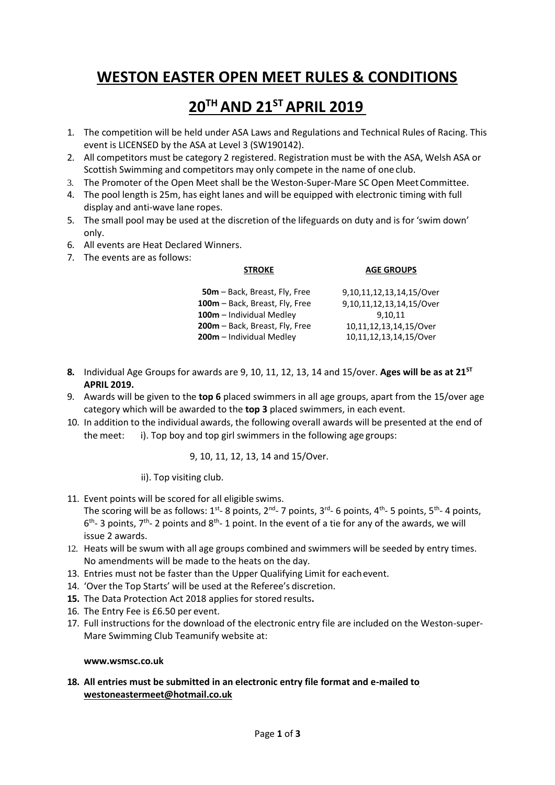# **WESTON EASTER OPEN MEET RULES & CONDITIONS**

## **20TH AND 21ST APRIL 2019**

- 1. The competition will be held under ASA Laws and Regulations and Technical Rules of Racing. This event is LICENSED by the ASA at Level 3 (SW190142).
- 2. All competitors must be category 2 registered. Registration must be with the ASA, Welsh ASA or Scottish Swimming and competitors may only compete in the name of one club.
- 3. The Promoter of the Open Meet shall be the Weston-Super-Mare SC Open MeetCommittee.
- 4. The pool length is 25m, has eight lanes and will be equipped with electronic timing with full display and anti-wave lane ropes.
- 5. The small pool may be used at the discretion of the lifeguards on duty and is for 'swim down' only.
- 6. All events are Heat Declared Winners.
- 7. The events are as follows:

#### **STROKE**

#### **AGE GROUPS**

| 50m - Back, Breast, Fly, Free  | 9,10,11,12,13,14,15/Over |
|--------------------------------|--------------------------|
| 100m - Back, Breast, Fly, Free | 9,10,11,12,13,14,15/Over |
| 100m - Individual Medley       | 9.10.11                  |
| 200m – Back, Breast, Fly, Free | 10,11,12,13,14,15/Over   |
| 200m - Individual Medley       | 10,11,12,13,14,15/Over   |

- **8.** Individual Age Groups for awards are 9, 10, 11, 12, 13, 14 and 15/over. **Ages will be as at 21ST APRIL 2019.**
- 9. Awards will be given to the **top 6** placed swimmers in all age groups, apart from the 15/over age category which will be awarded to the **top 3** placed swimmers, in each event.
- 10. In addition to the individual awards, the following overall awards will be presented at the end of the meet: i). Top boy and top girl swimmers in the following age groups:

#### 9, 10, 11, 12, 13, 14 and 15/Over.

ii). Top visiting club.

11. Event points will be scored for all eligible swims.

The scoring will be as follows:  $1^{st}$ - 8 points,  $2^{nd}$ - 7 points,  $3^{rd}$ - 6 points,  $4^{th}$ - 5 points,  $5^{th}$ - 4 points,  $6<sup>th</sup>$  3 points, 7<sup>th</sup> 2 points and 8<sup>th</sup> 1 point. In the event of a tie for any of the awards, we will issue 2 awards.

- 12. Heats will be swum with all age groups combined and swimmers will be seeded by entry times. No amendments will be made to the heats on the day.
- 13. Entries must not be faster than the Upper Qualifying Limit for eachevent.
- 14. 'Over the Top Starts' will be used at the Referee's discretion.
- **15.** The Data Protection Act 2018 applies for stored results**.**
- 16. The Entry Fee is £6.50 per event.
- 17. Full instructions for the download of the electronic entry file are included on the Weston-super-Mare Swimming Club Teamunify website at:

#### **[www.wsmsc.co.uk](http://www.wsmsc.co.uk/)**

## **18. All entries must be submitted in an electronic entry file format and e-mailed to [westoneastermeet@hotmail.co.uk](mailto:westoneastermeet@hotmail.co.uk)**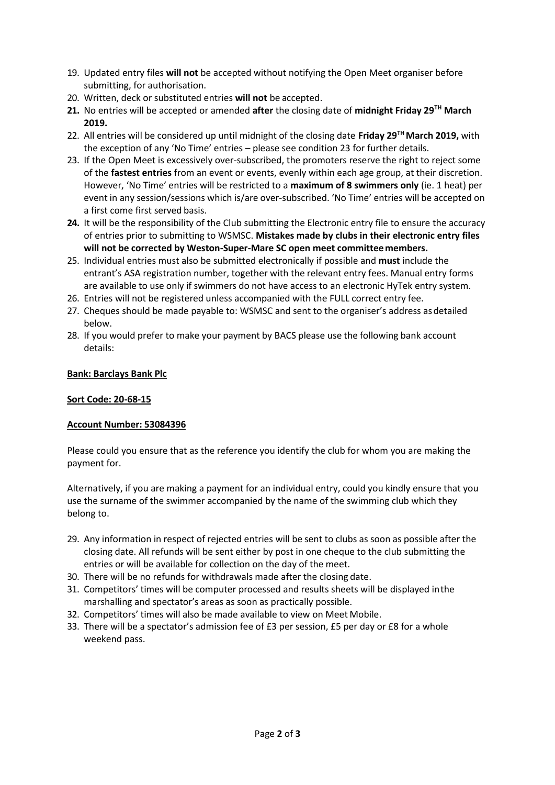- 19. Updated entry files **will not** be accepted without notifying the Open Meet organiser before submitting, for authorisation.
- 20. Written, deck or substituted entries **will not** be accepted.
- **21.** No entries will be accepted or amended **after** the closing date of **midnight Friday 29TH March 2019.**
- 22. All entries will be considered up until midnight of the closing date **Friday 29THMarch 2019,** with the exception of any 'No Time' entries – please see condition 23 for further details.
- 23. If the Open Meet is excessively over-subscribed, the promoters reserve the right to reject some of the **fastest entries** from an event or events, evenly within each age group, at their discretion. However, 'No Time' entries will be restricted to a **maximum of 8 swimmers only** (ie. 1 heat) per event in any session/sessions which is/are over-subscribed. 'No Time' entries will be accepted on a first come first served basis.
- **24.** It will be the responsibility of the Club submitting the Electronic entry file to ensure the accuracy of entries prior to submitting to WSMSC. **Mistakes made by clubs in their electronic entry files will not be corrected by Weston-Super-Mare SC open meet committeemembers.**
- 25. Individual entries must also be submitted electronically if possible and **must** include the entrant's ASA registration number, together with the relevant entry fees. Manual entry forms are available to use only if swimmers do not have access to an electronic HyTek entry system.
- 26. Entries will not be registered unless accompanied with the FULL correct entry fee.
- 27. Cheques should be made payable to: WSMSC and sent to the organiser's address asdetailed below.
- 28. If you would prefer to make your payment by BACS please use the following bank account details:

## **Bank: Barclays Bank Plc**

## **Sort Code: 20-68-15**

## **Account Number: 53084396**

Please could you ensure that as the reference you identify the club for whom you are making the payment for.

Alternatively, if you are making a payment for an individual entry, could you kindly ensure that you use the surname of the swimmer accompanied by the name of the swimming club which they belong to.

- 29. Any information in respect of rejected entries will be sent to clubs as soon as possible after the closing date. All refunds will be sent either by post in one cheque to the club submitting the entries or will be available for collection on the day of the meet.
- 30. There will be no refunds for withdrawals made after the closing date.
- 31. Competitors' times will be computer processed and results sheets will be displayed inthe marshalling and spectator's areas as soon as practically possible.
- 32. Competitors' times will also be made available to view on Meet Mobile.
- 33. There will be a spectator's admission fee of £3 per session, £5 per day or £8 for a whole weekend pass.